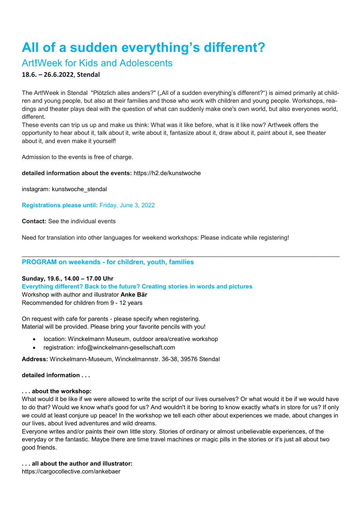# **All of a sudden everything's different?**

## Art**!**Week for Kids and Adolescents

### **18.6. – 26.6.2022**, **Stendal**

The Art!Week in Stendal "Plötzlich alles anders?" ("All of a sudden everything's different?") is aimed primarily at children and young people, but also at their families and those who work with children and young people. Workshops, readings and theater plays deal with the question of what can suddenly make one's own world, but also everyones world, different.

These events can trip us up and make us think: What was it like before, what is it like now? Art!week offers the opportunity to hear about it, talk about it, write about it, fantasize about it, draw about it, paint about it, see theater about it, and even make it yourself!

Admission to the events is free of charge.

#### **detailed information about the events:** <https://h2.de/kunstwoche>

instagram: kunstwoche\_stendal

**Registrations please until:** Friday, June 3, 2022

**Contact:** See the individual events

Need for translation into other languages for weekend workshops: Please indicate while registering!

\_\_\_\_\_\_\_\_\_\_\_\_\_\_\_\_\_\_\_\_\_\_\_\_\_\_\_\_\_\_\_\_\_\_\_\_\_\_\_\_\_\_\_\_\_\_\_\_\_\_\_\_\_\_\_\_\_\_\_\_\_\_\_\_\_\_\_\_\_\_\_\_\_\_\_\_\_\_\_\_\_\_\_\_\_\_\_\_\_\_\_\_\_\_

#### **PROGRAM on weekends - for children, youth, families**

#### **Sunday, 19.6., 14.00 – 17.00 Uhr**

**Everything different? Back to the future? Creating stories in words and pictures**

Workshop with author and illustrator **Anke Bär**

Recommended for children from 9 - 12 years

On request with cafe for parents - please specify when registering. Material will be provided. Please bring your favorite pencils with you!

- location: Winckelmann Museum, outdoor area/creative workshop
- registration: [info@winckelmann-gesellschaft.com](mailto:info@winckelmann-gesellschaft.com)

**Address:** Winckelmann-Museum, Winckelmannstr. 36-38, 39576 Stendal

**detailed information . . .**

#### **. . . about the workshop:**

What would it be like if we were allowed to write the script of our lives ourselves? Or what would it be if we would have to do that? Would we know what's good for us? And wouldn't it be boring to know exactly what's in store for us? If only we could at least conjure up peace! In the workshop we tell each other about experiences we made, about changes in our lives, about lived adventures and wild dreams.

Everyone writes and/or paints their own little story. Stories of ordinary or almost unbelievable experiences, of the everyday or the fantastic. Maybe there are time travel machines or magic pills in the stories or it's just all about two good friends.

#### **. . . all about the author and illustrator:**

<https://cargocollective.com/ankebaer>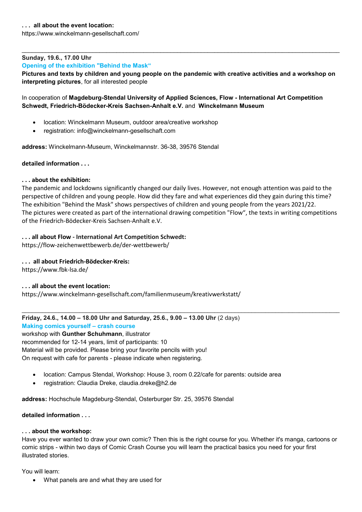#### **Sunday, 19.6., 17.00 Uhr**

**Opening of the exhibition "Behind the Mask"**

**Pictures and texts by children and young people on the pandemic with creative activities and a workshop on interpreting pictures**, for all interested people

\_\_\_\_\_\_\_\_\_\_\_\_\_\_\_\_\_\_\_\_\_\_\_\_\_\_\_\_\_\_\_\_\_\_\_\_\_\_\_\_\_\_\_\_\_\_\_\_\_\_\_\_\_\_\_\_\_\_\_\_\_\_\_\_\_\_\_\_\_\_\_\_\_\_\_\_\_\_\_\_\_\_\_\_\_\_\_\_\_\_\_\_\_\_

#### In cooperation of **Magdeburg-Stendal University of Applied Sciences, Flow - International Art Competition Schwedt, Friedrich-Bödecker-Kreis Sachsen-Anhalt e.V.** and **Winckelmann Museum**

- location: Winckelmann Museum, outdoor area/creative workshop
- registration: info@winckelmann-gesellschaft.com

**address:** Winckelmann-Museum, Winckelmannstr. 36-38, 39576 Stendal

#### **detailed information . . .**

#### **. . . about the exhibition:**

The pandemic and lockdowns significantly changed our daily lives. However, not enough attention was paid to the perspective of children and young people. How did they fare and what experiences did they gain during this time? The exhibition "Behind the Mask" shows perspectives of children and young people from the years 2021/22. The pictures were created as part of the international drawing competition "Flow", the texts in writing competitions of the Friedrich-Bödecker-Kreis Sachsen-Anhalt e.V.

\_\_\_\_\_\_\_\_\_\_\_\_\_\_\_\_\_\_\_\_\_\_\_\_\_\_\_\_\_\_\_\_\_\_\_\_\_\_\_\_\_\_\_\_\_\_\_\_\_\_\_\_\_\_\_\_\_\_\_\_\_\_\_\_\_\_\_\_\_\_\_\_\_\_\_\_\_\_\_\_\_\_\_\_\_\_\_\_\_\_\_\_\_\_

#### **. . . all about Flow - International Art Competition Schwedt:**

<https://flow-zeichenwettbewerb.de/der-wettbewerb/>

#### **. . . all about Friedrich-Bödecker-Kreis:**

<https://www.fbk-lsa.de/>

#### **. . . all about the event location:**

<https://www.winckelmann-gesellschaft.com/familienmuseum/kreativwerkstatt/>

**Friday, 24.6., 14.00 – 18.00 Uhr and Saturday, 25.6., 9.00 – 13.00 Uhr** (2 days) **Making comics yourself – crash course**

workshop with **Gunther Schuhmann**, illustrator recommended for 12-14 years, limit of participants: 10 Material will be provided. Please bring your favorite pencils wiith you! On request with cafe for parents - please indicate when registering.

- location: Campus Stendal, Workshop: House 3, room 0.22/cafe for parents: outside area
- registration: Claudia Dreke, claudia.dreke@h2.de

**address:** Hochschule Magdeburg-Stendal, Osterburger Str. 25, 39576 Stendal

#### **detailed information . . .**

#### **. . . about the workshop:**

Have you ever wanted to draw your own comic? Then this is the right course for you. Whether it's manga, cartoons or comic strips - within two days of Comic Crash Course you will learn the practical basics you need for your first illustrated stories.

You will learn:

• What panels are and what they are used for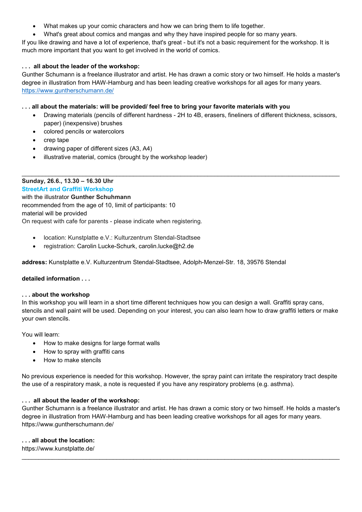- What makes up your comic characters and how we can bring them to life together.
- What's great about comics and mangas and why they have inspired people for so many years.

If you like drawing and have a lot of experience, that's great - but it's not a basic requirement for the workshop. It is much more important that you want to get involved in the world of comics.

#### **. . . all about the leader of the workshop:**

Gunther Schumann is a freelance illustrator and artist. He has drawn a comic story or two himself. He holds a master's degree in illustration from HAW-Hamburg and has been leading creative workshops for all ages for many years. <https://www.guntherschumann.de/>

#### **. . . all about the materials: will be provided/ feel free to bring your favorite materials with you**

- Drawing materials (pencils of different hardness 2H to 4B, erasers, fineliners of different thickness, scissors, paper) (inexpensive) brushes
- colored pencils or watercolors
- crep tape
- drawing paper of different sizes (A3, A4)
- illustrative material, comics (brought by the workshop leader)

\_\_\_\_\_\_\_\_\_\_\_\_\_\_\_\_\_\_\_\_\_\_\_\_\_\_\_\_\_\_\_\_\_\_\_\_\_\_\_\_\_\_\_\_\_\_\_\_\_\_\_\_\_\_\_\_\_\_\_\_\_\_\_\_\_\_\_\_\_\_\_\_\_\_\_\_\_\_\_\_\_\_\_\_\_\_\_\_\_\_\_\_\_\_ **Sunday, 26.6., 13.30 – 16.30 Uhr StreetArt and Graffiti Workshop** with the illustrator **Gunther Schuhmann** recommended from the age of 10, limit of participants: 10 material will be provided On request with cafe for parents - please indicate when registering.

- location: Kunstplatte e.V.: Kulturzentrum Stendal-Stadtsee
- registration: Carolin Lucke-Schurk, [carolin.lucke@h2.de](mailto:carolin.lucke@h2.de)

**address:** Kunstplatte e.V. Kulturzentrum Stendal-Stadtsee, Adolph-Menzel-Str. 18, 39576 Stendal

#### **detailed information . . .**

#### **. . . about the workshop**

In this workshop you will learn in a short time different techniques how you can design a wall. Graffiti spray cans, stencils and wall paint will be used. Depending on your interest, you can also learn how to draw graffiti letters or make your own stencils.

You will learn:

- How to make designs for large format walls
- How to spray with graffiti cans
- How to make stencils

No previous experience is needed for this workshop. However, the spray paint can irritate the respiratory tract despite the use of a respiratory mask, a note is requested if you have any respiratory problems (e.g. asthma).

#### **. . . all about the leader of the workshop:**

Gunther Schumann is a freelance illustrator and artist. He has drawn a comic story or two himself. He holds a master's degree in illustration from HAW-Hamburg and has been leading creative workshops for all ages for many years. <https://www.guntherschumann.de/>

\_\_\_\_\_\_\_\_\_\_\_\_\_\_\_\_\_\_\_\_\_\_\_\_\_\_\_\_\_\_\_\_\_\_\_\_\_\_\_\_\_\_\_\_\_\_\_\_\_\_\_\_\_\_\_\_\_\_\_\_\_\_\_\_\_\_\_\_\_\_\_\_\_\_\_\_\_\_\_\_\_\_\_\_\_\_\_\_\_\_\_\_\_\_

#### **. . . all about the location:**

<https://www.kunstplatte.de/>